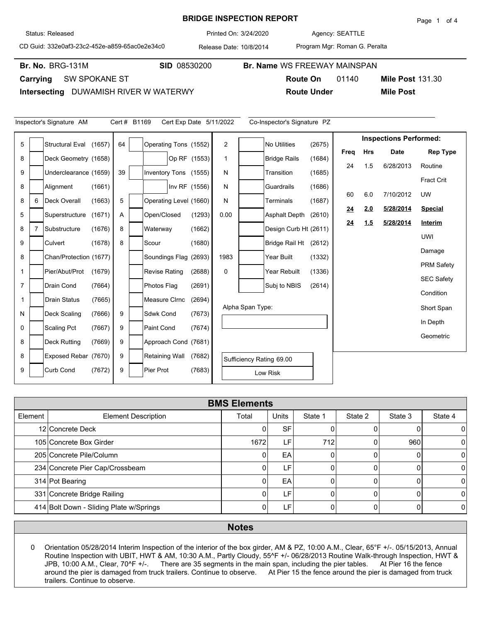## Printed On: **BRIDGE INSPECTION REPORT**

**Br. No. SID** 08530200 **Br. Name** WS FREEWAY MAINSPAN

Agency: 3/24/2020 SEATTLE

**Route On** 01140

CD Guid: 332e0af3-23c2-452e-a859-65ac0e2e34c0

Release Date: 10/8/2014

Program Mgr: Roman G. Peralta

**Route Under Mile Post**

**Br. No. BRG-131M** 

**Carrying** SW SPOKANE ST

**Intersecting** DUWAMISH RIVER W WATERWY

|                | Inspector's Signature AM<br>Cert # B1169<br>Cert Exp Date 5/11/2022<br>Co-Inspector's Signature PZ |                        |        |    |  |                        |               |              |                  |                          |        |      |            |                               |                   |
|----------------|----------------------------------------------------------------------------------------------------|------------------------|--------|----|--|------------------------|---------------|--------------|------------------|--------------------------|--------|------|------------|-------------------------------|-------------------|
| 5              |                                                                                                    | <b>Structural Eval</b> | (1657) | 64 |  | Operating Tons (1552)  |               | 2            |                  | <b>No Utilities</b>      | (2675) |      |            | <b>Inspections Performed:</b> |                   |
| 8              |                                                                                                    | Deck Geometry (1658)   |        |    |  |                        | Op RF (1553)  | $\mathbf{1}$ |                  | <b>Bridge Rails</b>      | (1684) | Freq | <b>Hrs</b> | <b>Date</b>                   | <b>Rep Type</b>   |
|                |                                                                                                    |                        |        |    |  |                        |               |              |                  |                          |        | 24   | 1.5        | 6/28/2013                     | Routine           |
| 9              |                                                                                                    | Underclearance (1659)  |        | 39 |  | Inventory Tons (1555)  |               | N            |                  | Transition               | (1685) |      |            |                               | <b>Fract Crit</b> |
| 8              |                                                                                                    | Alignment              | (1661) |    |  |                        | Inv RF (1556) | N            |                  | Guardrails               | (1686) | 60   | 6.0        | 7/10/2012                     | <b>UW</b>         |
| 8              | 6                                                                                                  | <b>Deck Overall</b>    | (1663) | 5  |  | Operating Level (1660) |               | Ν            |                  | <b>Terminals</b>         | (1687) | 24   | 2.0        | 5/28/2014                     | <b>Special</b>    |
| 5              |                                                                                                    | Superstructure         | (1671) | A  |  | Open/Closed            | (1293)        | 0.00         |                  | <b>Asphalt Depth</b>     | (2610) |      |            | 5/28/2014                     |                   |
| 8              | 7                                                                                                  | Substructure           | (1676) | 8  |  | Waterway               | (1662)        |              |                  | Design Curb Ht (2611)    |        | 24   | 1.5        |                               | Interim           |
| 9              |                                                                                                    | Culvert                | (1678) | 8  |  | Scour                  | (1680)        |              |                  | <b>Bridge Rail Ht</b>    | (2612) |      |            |                               | <b>UWI</b>        |
| 8              |                                                                                                    | Chan/Protection (1677) |        |    |  | Soundings Flag (2693)  |               | 1983         |                  | Year Built               | (1332) |      |            |                               | Damage            |
| $\mathbf{1}$   |                                                                                                    | Pier/Abut/Prot         | (1679) |    |  | <b>Revise Rating</b>   | (2688)        | 0            |                  | Year Rebuilt             | (1336) |      |            |                               | <b>PRM Safety</b> |
| $\overline{7}$ |                                                                                                    | Drain Cond             | (7664) |    |  | Photos Flag            | (2691)        |              |                  | Subj to NBIS             | (2614) |      |            |                               | <b>SEC Safety</b> |
| 1              |                                                                                                    | <b>Drain Status</b>    | (7665) |    |  | Measure Cirnc          | (2694)        |              |                  |                          |        |      |            |                               | Condition         |
|                |                                                                                                    |                        |        |    |  |                        |               |              | Alpha Span Type: |                          |        |      |            |                               | Short Span        |
| N              |                                                                                                    | Deck Scaling           | (7666) | 9  |  | Sdwk Cond              | (7673)        |              |                  |                          |        |      |            |                               | In Depth          |
| 0              |                                                                                                    | <b>Scaling Pct</b>     | (7667) | 9  |  | Paint Cond             | (7674)        |              |                  |                          |        |      |            |                               | Geometric         |
| 8              |                                                                                                    | <b>Deck Rutting</b>    | (7669) | 9  |  | Approach Cond (7681)   |               |              |                  |                          |        |      |            |                               |                   |
| 8              |                                                                                                    | Exposed Rebar (7670)   |        | 9  |  | <b>Retaining Wall</b>  | (7682)        |              |                  | Sufficiency Rating 69.00 |        |      |            |                               |                   |
| 9              |                                                                                                    | Curb Cond              | (7672) | 9  |  | Pier Prot              | (7683)        |              |                  | Low Risk                 |        |      |            |                               |                   |

|         | <b>BMS Elements</b>                     |       |                 |         |         |         |         |  |  |  |  |  |
|---------|-----------------------------------------|-------|-----------------|---------|---------|---------|---------|--|--|--|--|--|
| Element | <b>Element Description</b>              | Total | Units           | State 1 | State 2 | State 3 | State 4 |  |  |  |  |  |
|         | 12 Concrete Deck                        |       | SF <sup>1</sup> |         |         |         | 0       |  |  |  |  |  |
|         | 105 Concrete Box Girder                 | 1672  | ιF'             | 712     |         | 960     | 0       |  |  |  |  |  |
|         | 205 Concrete Pile/Column                |       | EA              | U       | O       |         | 0       |  |  |  |  |  |
|         | 234 Concrete Pier Cap/Crossbeam         |       | LF'             |         | O       |         | 0       |  |  |  |  |  |
|         | 314 Pot Bearing                         |       | EA              |         | O       |         | 0       |  |  |  |  |  |
|         | 331 Concrete Bridge Railing             |       | LF'             |         | 0       |         | 0       |  |  |  |  |  |
|         | 414 Bolt Down - Sliding Plate w/Springs |       | LF'             |         |         |         | 0       |  |  |  |  |  |

## **Notes**

0 Orientation 05/28/2014 Interim Inspection of the interior of the box girder, AM & PZ, 10:00 A.M., Clear, 65°F +/-. 05/15/2013, Annual Routine Inspection with UBIT, HWT & AM, 10:30 A.M., Partly Cloudy, 55^F +/- 06/28/2013 Routine Walk-through Inspection, HWT & JPB, 10:00 A.M., Clear, 70^F +/-. There are 35 segments in the main span, including the pier tables. At Pier 16 the fence around the pier is damaged from truck trailers. Continue to observe. At Pier 15 the fence around the pier is damaged from truck trailers. Continue to observe.

**Mile Post 131.30** 

Status: Released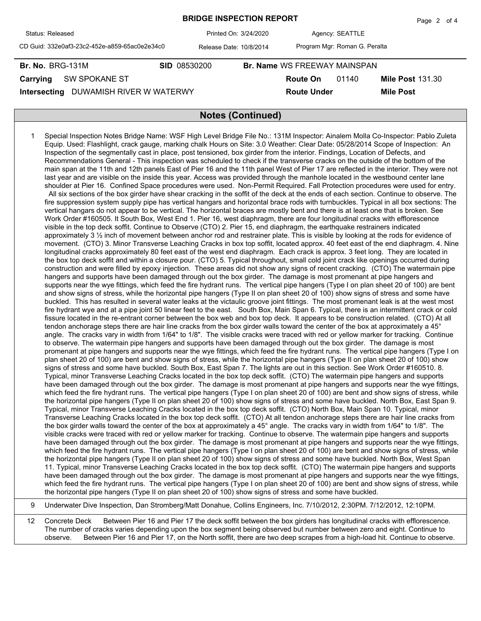|                                               |                         |                                     |                               | $1$ uyu $2$ ultr        |  |  |  |  |
|-----------------------------------------------|-------------------------|-------------------------------------|-------------------------------|-------------------------|--|--|--|--|
| Status: Released                              | Printed On: 3/24/2020   |                                     | Agency: SEATTLE               |                         |  |  |  |  |
| CD Guid: 332e0af3-23c2-452e-a859-65ac0e2e34c0 | Release Date: 10/8/2014 |                                     | Program Mgr: Roman G. Peralta |                         |  |  |  |  |
| <b>Br. No. BRG-131M</b>                       | <b>SID 08530200</b>     | <b>Br. Name WS FREEWAY MAINSPAN</b> |                               |                         |  |  |  |  |
| <b>SW SPOKANE ST</b><br>Carrying              |                         | <b>Route On</b>                     | 01140                         | <b>Mile Post 131.30</b> |  |  |  |  |
| DUWAMISH RIVER W WATERWY<br>Intersecting      |                         | <b>Route Under</b>                  |                               | <b>Mile Post</b>        |  |  |  |  |
|                                               |                         |                                     |                               |                         |  |  |  |  |
| <b>Notes (Continued)</b>                      |                         |                                     |                               |                         |  |  |  |  |

**BRIDGE INSPECTION REPORT**

Page 2 of 4

- 1 Special Inspection Notes Bridge Name: WSF High Level Bridge File No.: 131M Inspector: Ainalem Molla Co-Inspector: Pablo Zuleta Equip. Used: Flashlight, crack gauge, marking chalk Hours on Site: 3.0 Weather: Clear Date: 05/28/2014 Scope of Inspection: An Inspection of the segmentally cast in place, post tensioned, box girder from the interior. Findings, Location of Defects, and Recommendations General - This inspection was scheduled to check if the transverse cracks on the outside of the bottom of the main span at the 11th and 12th panels East of Pier 16 and the 11th panel West of Pier 17 are reflected in the interior. They were not last year and are visible on the inside this year. Access was provided through the manhole located in the westbound center lane shoulder at Pier 16. Confined Space procedures were used. Non-Permit Required. Fall Protection procedures were used for entry. All six sections of the box girder have shear cracking in the soffit of the deck at the ends of each section. Continue to observe. The fire suppression system supply pipe has vertical hangars and horizontal brace rods with turnbuckles. Typical in all box sections: The vertical hangars do not appear to be vertical. The horizontal braces are mostly bent and there is at least one that is broken. See Work Order #160505. It South Box, West End 1. Pier 16, west diaphragm, there are four longitudinal cracks with efflorescence visible in the top deck soffit. Continue to Observe (CTO) 2. Pier 15, end diaphragm, the earthquake restrainers indicated approximately 3 ½ inch of movement between anchor rod and restrainer plate. This is visible by looking at the rods for evidence of movement. (CTO) 3. Minor Transverse Leaching Cracks in box top soffit, located approx. 40 feet east of the end diaphragm. 4. Nine longitudinal cracks approximately 80 feet east of the west end diaphragm. Each crack is approx. 3 feet long. They are located in the box top deck soffit and within a closure pour. (CTO) 5. Typical throughout, small cold joint crack like openings occurred during construction and were filled by epoxy injection. These areas did not show any signs of recent cracking. (CTO) The watermain pipe hangers and supports have been damaged through out the box girder. The damage is most promenant at pipe hangers and supports near the wye fittings, which feed the fire hydrant runs. The vertical pipe hangers (Type I on plan sheet 20 of 100) are bent and show signs of stress, while the horizontal pipe hangers (Type II on plan sheet 20 of 100) show signs of stress and some have buckled. This has resulted in several water leaks at the victaulic groove joint fittings. The most promenant leak is at the west most fire hydrant wye and at a pipe joint 50 linear feet to the east. South Box, Main Span 6. Typical, there is an intermittent crack or cold fissure located in the re-entrant corner between the box web and box top deck. It appears to be construction related. (CTO) At all tendon anchorage steps there are hair line cracks from the box girder walls toward the center of the box at approximately a 45° angle. The cracks vary in width from 1/64" to 1/8". The visible cracks were traced with red or yellow marker for tracking. Continue to observe. The watermain pipe hangers and supports have been damaged through out the box girder. The damage is most promenant at pipe hangers and supports near the wye fittings, which feed the fire hydrant runs. The vertical pipe hangers (Type I on plan sheet 20 of 100) are bent and show signs of stress, while the horizontal pipe hangers (Type II on plan sheet 20 of 100) show signs of stress and some have buckled. South Box, East Span 7. The lights are out in this section. See Work Order #160510. 8. Typical, minor Transverse Leaching Cracks located in the box top deck soffit. (CTO) The watermain pipe hangers and supports have been damaged through out the box girder. The damage is most promenant at pipe hangers and supports near the wye fittings, which feed the fire hydrant runs. The vertical pipe hangers (Type I on plan sheet 20 of 100) are bent and show signs of stress, while the horizontal pipe hangers (Type II on plan sheet 20 of 100) show signs of stress and some have buckled. North Box, East Span 9. Typical, minor Transverse Leaching Cracks located in the box top deck soffit. (CTO) North Box, Main Span 10. Typical, minor Transverse Leaching Cracks located in the box top deck soffit. (CTO) At all tendon anchorage steps there are hair line cracks from the box girder walls toward the center of the box at approximately a 45° angle. The cracks vary in width from 1/64" to 1/8". The visible cracks were traced with red or yellow marker for tracking. Continue to observe. The watermain pipe hangers and supports have been damaged through out the box girder. The damage is most promenant at pipe hangers and supports near the wye fittings, which feed the fire hydrant runs. The vertical pipe hangers (Type I on plan sheet 20 of 100) are bent and show signs of stress, while the horizontal pipe hangers (Type II on plan sheet 20 of 100) show signs of stress and some have buckled. North Box, West Span 11. Typical, minor Transverse Leaching Cracks located in the box top deck soffit. (CTO) The watermain pipe hangers and supports have been damaged through out the box girder. The damage is most promenant at pipe hangers and supports near the wye fittings, which feed the fire hydrant runs. The vertical pipe hangers (Type I on plan sheet 20 of 100) are bent and show signs of stress, while the horizontal pipe hangers (Type II on plan sheet 20 of 100) show signs of stress and some have buckled.
- 9 Underwater Dive Inspection, Dan Stromberg/Matt Donahue, Collins Engineers, Inc. 7/10/2012, 2:30PM. 7/12/2012, 12:10PM.

12 Concrete Deck Between Pier 16 and Pier 17 the deck soffit between the box girders has longitudinal cracks with efflorescence. The number of cracks varies depending upon the box segment being observed but number between zero and eight. Continue to observe. Between Pier 16 and Pier 17, on the North soffit, there are two deep scrapes from a high-load hit. Continue to observe.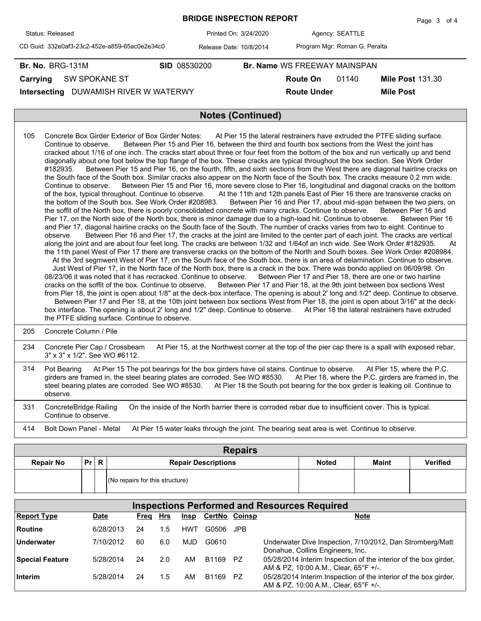| <b>BRIDGE INSPECTION REPORT</b>               |                         |  |                              |                               |                         |  |  |  |  |  |
|-----------------------------------------------|-------------------------|--|------------------------------|-------------------------------|-------------------------|--|--|--|--|--|
| Status: Released                              | Printed On: 3/24/2020   |  |                              | Agency: SEATTLE               |                         |  |  |  |  |  |
| CD Guid: 332e0af3-23c2-452e-a859-65ac0e2e34c0 | Release Date: 10/8/2014 |  |                              | Program Mgr: Roman G. Peralta |                         |  |  |  |  |  |
| <b>Br. No. BRG-131M</b>                       | <b>SID 08530200</b>     |  | Br. Name WS FREEWAY MAINSPAN |                               |                         |  |  |  |  |  |
| <b>SW SPOKANE ST</b><br>Carrying              |                         |  | Route On                     | 01140                         | <b>Mile Post 131.30</b> |  |  |  |  |  |
| DUWAMISH RIVER W WATERWY<br>Intersecting      |                         |  | <b>Route Under</b>           | <b>Mile Post</b>              |                         |  |  |  |  |  |
|                                               |                         |  |                              |                               |                         |  |  |  |  |  |
| <b>Notes (Continued)</b>                      |                         |  |                              |                               |                         |  |  |  |  |  |

| 105 | Concrete Box Girder Exterior of Box Girder Notes: At Pier 15 the lateral restrainers have extruded the PTFE sliding surface.<br>Between Pier 15 and Pier 16, between the third and fourth box sections from the West the joint has<br>Continue to observe.<br>cracked about 1/16 of one inch. The cracks start about three or four feet from the bottom of the box and run vertically up and bend<br>diagonally about one foot below the top flange of the box. These cracks are typical throughout the box section. See Work Order<br>Between Pier 15 and Pier 16, on the fourth, fifth, and sixth sections from the West there are diagonal hairline cracks on<br>#182935.<br>the South face of the South box. Similar cracks also appear on the North face of the South box. The cracks measure 0.2 mm wide.<br>Between Pier 15 and Pier 16, more severe close to Pier 16, longitudinal and diagonal cracks on the bottom<br>Continue to observe.<br>of the box, typical throughout. Continue to observe. At the 11th and 12th panels East of Pier 16 there are transverse cracks on<br>the bottom of the South box. See Work Order #208983.<br>Between Pier 16 and Pier 17, about mid-span between the two piers, on<br>the soffit of the North box, there is poorly consolidated concrete with many cracks. Continue to observe.<br>Between Pier 16 and<br>Pier 17, on the North side of the North box, there is minor damage due to a high-load hit. Continue to observe. Between Pier 16<br>and Pier 17, diagonal hairline cracks on the South face of the South. The number of cracks varies from two to eight. Continue to<br>Between Pier 16 and Pier 17, the cracks at the joint are limited to the center part of each joint. The cracks are vertical<br>observe.<br>along the joint and are about four feet long. The cracks are between 1/32 and 1/64of an inch wide. See Work Order #182935.<br>At<br>the 11th panel West of Pier 17 there are transverse cracks on the bottom of the North and South boxes. See Work Order #208984. |
|-----|-----------------------------------------------------------------------------------------------------------------------------------------------------------------------------------------------------------------------------------------------------------------------------------------------------------------------------------------------------------------------------------------------------------------------------------------------------------------------------------------------------------------------------------------------------------------------------------------------------------------------------------------------------------------------------------------------------------------------------------------------------------------------------------------------------------------------------------------------------------------------------------------------------------------------------------------------------------------------------------------------------------------------------------------------------------------------------------------------------------------------------------------------------------------------------------------------------------------------------------------------------------------------------------------------------------------------------------------------------------------------------------------------------------------------------------------------------------------------------------------------------------------------------------------------------------------------------------------------------------------------------------------------------------------------------------------------------------------------------------------------------------------------------------------------------------------------------------------------------------------------------------------------------------------------------------------------------------------------------------------------------------------------------------------------------|
|     | At the 3rd segmwent West of Pier 17, on the South face of the South box, there is an area of delamination. Continue to observe.<br>Just West of Pier 17, in the North face of the North box, there is a crack in the box. There was bondo applied on 06/09/98. On<br>08/23/06 it was noted that it has recracked. Continue to observe.<br>Between Pier 17 and Pier 18, there are one or two hairline<br>cracks on the soffit of the box. Continue to observe. Between Pier 17 and Pier 18, at the 9th joint between box sections West                                                                                                                                                                                                                                                                                                                                                                                                                                                                                                                                                                                                                                                                                                                                                                                                                                                                                                                                                                                                                                                                                                                                                                                                                                                                                                                                                                                                                                                                                                               |
|     | from Pier 18, the joint is open about 1/8" at the deck-box interface. The opening is about 2' long and 1/2" deep. Continue to observe.<br>Between Pier 17 and Pier 18, at the 10th joint between box sections West from Pier 18, the joint is open about 3/16" at the deck-<br>box interface. The opening is about 2' long and 1/2" deep. Continue to observe.<br>At Pier 18 the lateral restrainers have extruded<br>the PTFE sliding surface. Continue to observe.                                                                                                                                                                                                                                                                                                                                                                                                                                                                                                                                                                                                                                                                                                                                                                                                                                                                                                                                                                                                                                                                                                                                                                                                                                                                                                                                                                                                                                                                                                                                                                                |
| 205 | Concrete Column / Pile                                                                                                                                                                                                                                                                                                                                                                                                                                                                                                                                                                                                                                                                                                                                                                                                                                                                                                                                                                                                                                                                                                                                                                                                                                                                                                                                                                                                                                                                                                                                                                                                                                                                                                                                                                                                                                                                                                                                                                                                                              |
| 234 | Concrete Pier Cap / Crossbeam<br>At Pier 15, at the Northwest corner at the top of the pier cap there is a spall with exposed rebar,<br>3" x 3" x 1/2". See WO #6112.                                                                                                                                                                                                                                                                                                                                                                                                                                                                                                                                                                                                                                                                                                                                                                                                                                                                                                                                                                                                                                                                                                                                                                                                                                                                                                                                                                                                                                                                                                                                                                                                                                                                                                                                                                                                                                                                               |
| 314 | At Pier 15 The pot bearings for the box girders have oil stains. Continue to observe. At Pier 15, where the P.C.<br>Pot Bearing<br>girders are framed in, the steel bearing plates are corroded. See WO #8530. At Pier 18, where the P.C. girders are framed in, the<br>steel bearing plates are corroded. See WO #8530. At Pier 18 the South pot bearing for the box girder is leaking oil. Continue to<br>observe.                                                                                                                                                                                                                                                                                                                                                                                                                                                                                                                                                                                                                                                                                                                                                                                                                                                                                                                                                                                                                                                                                                                                                                                                                                                                                                                                                                                                                                                                                                                                                                                                                                |
| 331 | ConcreteBridge Railing<br>On the inside of the North barrier there is corroded rebar due to insufficient cover. This is typical.                                                                                                                                                                                                                                                                                                                                                                                                                                                                                                                                                                                                                                                                                                                                                                                                                                                                                                                                                                                                                                                                                                                                                                                                                                                                                                                                                                                                                                                                                                                                                                                                                                                                                                                                                                                                                                                                                                                    |

Continue to observe.

414 Bolt Down Panel - Metal At Pier 15 water leaks through the joint. The bearing seat area is wet. Continue to observe.

| <b>Repairs</b>   |      |  |                                 |              |              |                 |  |  |  |  |  |  |  |
|------------------|------|--|---------------------------------|--------------|--------------|-----------------|--|--|--|--|--|--|--|
| <b>Repair No</b> | Pr R |  | <b>Repair Descriptions</b>      | <b>Noted</b> | <b>Maint</b> | <b>Verified</b> |  |  |  |  |  |  |  |
|                  |      |  | (No repairs for this structure) |              |              |                 |  |  |  |  |  |  |  |

| <b>Inspections Performed and Resources Required</b> |           |          |     |      |                      |       |                                                                                                           |  |  |  |  |  |
|-----------------------------------------------------|-----------|----------|-----|------|----------------------|-------|-----------------------------------------------------------------------------------------------------------|--|--|--|--|--|
| <b>Report Type</b>                                  | Date      | Freg Hrs |     | Insp | <b>CertNo Coinsp</b> |       | <b>Note</b>                                                                                               |  |  |  |  |  |
| Routine                                             | 6/28/2013 | 24       | 1.5 | HWT  | G0506                | .JPB. |                                                                                                           |  |  |  |  |  |
| Underwater                                          | 7/10/2012 | 60       | 6.0 | MJD  | G0610                |       | Underwater Dive Inspection, 7/10/2012, Dan Stromberg/Matt<br>Donahue, Collins Engineers, Inc.             |  |  |  |  |  |
| <b>Special Feature</b>                              | 5/28/2014 | 24       | 2.0 | AM   | B1169                | PZ.   | 05/28/2014 Interim Inspection of the interior of the box girder,<br>AM & PZ, 10:00 A.M., Clear, 65°F +/-. |  |  |  |  |  |
| Interim                                             | 5/28/2014 | 24       | 1.5 | AM   | B1169                | PZ.   | 05/28/2014 Interim Inspection of the interior of the box girder,<br>AM & PZ, 10:00 A.M., Clear, 65°F +/-. |  |  |  |  |  |